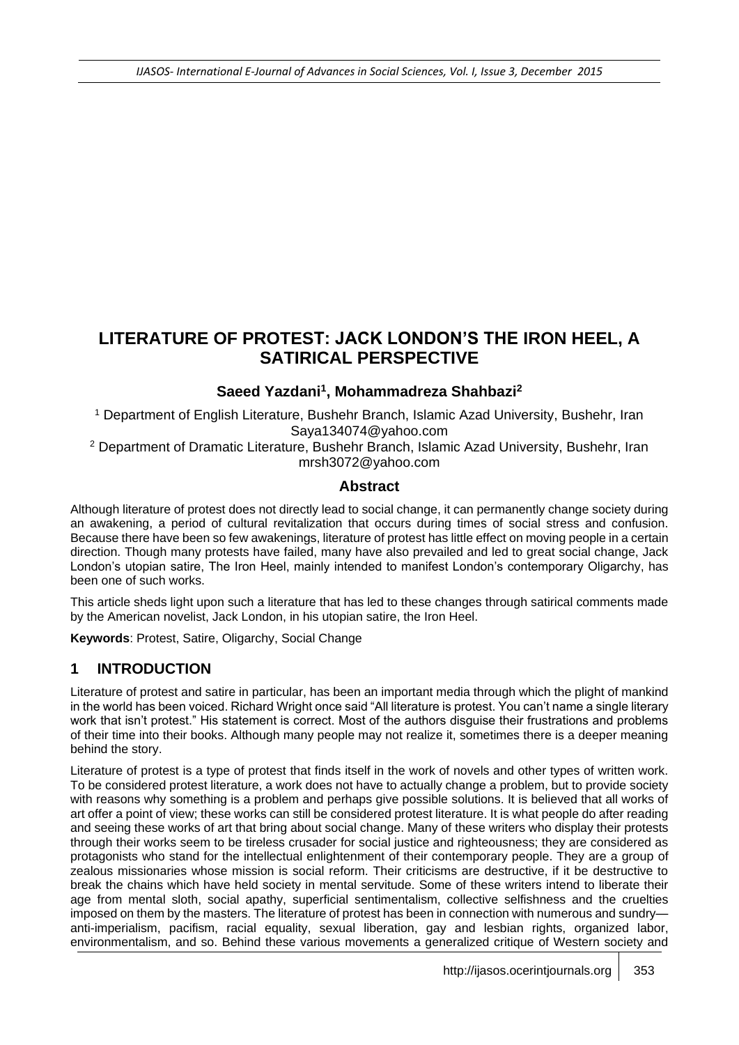# **LITERATURE OF PROTEST: JACK LONDON'S THE IRON HEEL, A SATIRICAL PERSPECTIVE**

#### **Saeed Yazdani<sup>1</sup> , Mohammadreza Shahbazi<sup>2</sup>**

<sup>1</sup> Department of English Literature, Bushehr Branch, Islamic Azad University, Bushehr, Iran Saya134074@yahoo.com

<sup>2</sup> Department of Dramatic Literature, Bushehr Branch, Islamic Azad University, Bushehr, Iran mrsh3072@yahoo.com

#### **Abstract**

Although literature of protest does not directly lead to social change, it can permanently change society during an awakening, a period of cultural revitalization that occurs during times of social stress and confusion. Because there have been so few awakenings, literature of protest has little effect on moving people in a certain direction. Though many protests have failed, many have also prevailed and led to great social change, Jack London's utopian satire, The Iron Heel, mainly intended to manifest London's contemporary Oligarchy, has been one of such works.

This article sheds light upon such a literature that has led to these changes through satirical comments made by the American novelist, Jack London, in his utopian satire, the Iron Heel.

**Keywords**: Protest, Satire, Oligarchy, Social Change

### **1 INTRODUCTION**

Literature of protest and satire in particular, has been an important media through which the plight of mankind in the world has been voiced. Richard Wright once said "All literature is protest. You can't name a single literary work that isn't protest." His statement is correct. Most of the authors disguise their frustrations and problems of their time into their books. Although many people may not realize it, sometimes there is a deeper meaning behind the story.

Literature of protest is a type of protest that finds itself in the work of novels and other types of written work. To be considered protest literature, a work does not have to actually change a problem, but to provide society with reasons why something is a problem and perhaps give possible solutions. It is believed that all works of art offer a point of view; these works can still be considered protest literature. It is what people do after reading and seeing these works of art that bring about social change. Many of these writers who display their protests through their works seem to be tireless crusader for social justice and righteousness; they are considered as protagonists who stand for the intellectual enlightenment of their contemporary people. They are a group of zealous missionaries whose mission is social reform. Their criticisms are destructive, if it be destructive to break the chains which have held society in mental servitude. Some of these writers intend to liberate their age from mental sloth, social apathy, superficial sentimentalism, collective selfishness and the cruelties imposed on them by the masters. The literature of protest has been in connection with numerous and sundry anti-imperialism, pacifism, racial equality, sexual liberation, gay and lesbian rights, organized labor, environmentalism, and so. Behind these various movements a generalized critique of Western society and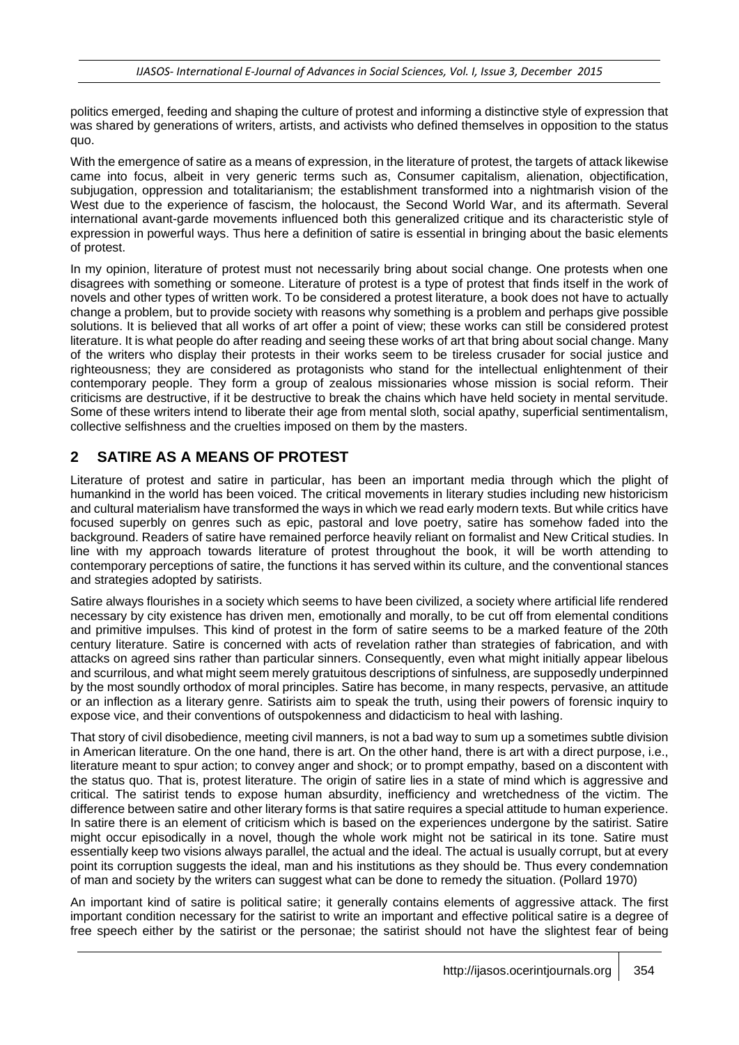politics emerged, feeding and shaping the culture of protest and informing a distinctive style of expression that was shared by generations of writers, artists, and activists who defined themselves in opposition to the status quo.

With the emergence of satire as a means of expression, in the literature of protest, the targets of attack likewise came into focus, albeit in very generic terms such as, Consumer capitalism, alienation, objectification, subjugation, oppression and totalitarianism; the establishment transformed into a nightmarish vision of the West due to the experience of fascism, the holocaust, the Second World War, and its aftermath. Several international avant-garde movements influenced both this generalized critique and its characteristic style of expression in powerful ways. Thus here a definition of satire is essential in bringing about the basic elements of protest.

In my opinion, literature of protest must not necessarily bring about social change. One protests when one disagrees with something or someone. Literature of protest is a type of protest that finds itself in the work of novels and other types of written work. To be considered a protest literature, a book does not have to actually change a problem, but to provide society with reasons why something is a problem and perhaps give possible solutions. It is believed that all works of art offer a point of view; these works can still be considered protest literature. It is what people do after reading and seeing these works of art that bring about social change. Many of the writers who display their protests in their works seem to be tireless crusader for social justice and righteousness; they are considered as protagonists who stand for the intellectual enlightenment of their contemporary people. They form a group of zealous missionaries whose mission is social reform. Their criticisms are destructive, if it be destructive to break the chains which have held society in mental servitude. Some of these writers intend to liberate their age from mental sloth, social apathy, superficial sentimentalism, collective selfishness and the cruelties imposed on them by the masters.

## **2 SATIRE AS A MEANS OF PROTEST**

Literature of protest and satire in particular, has been an important media through which the plight of humankind in the world has been voiced. The critical movements in literary studies including new historicism and cultural materialism have transformed the ways in which we read early modern texts. But while critics have focused superbly on genres such as epic, pastoral and love poetry, satire has somehow faded into the background. Readers of satire have remained perforce heavily reliant on formalist and New Critical studies. In line with my approach towards literature of protest throughout the book, it will be worth attending to contemporary perceptions of satire, the functions it has served within its culture, and the conventional stances and strategies adopted by satirists.

Satire always flourishes in a society which seems to have been civilized, a society where artificial life rendered necessary by city existence has driven men, emotionally and morally, to be cut off from elemental conditions and primitive impulses. This kind of protest in the form of satire seems to be a marked feature of the 20th century literature. Satire is concerned with acts of revelation rather than strategies of fabrication, and with attacks on agreed sins rather than particular sinners. Consequently, even what might initially appear libelous and scurrilous, and what might seem merely gratuitous descriptions of sinfulness, are supposedly underpinned by the most soundly orthodox of moral principles. Satire has become, in many respects, pervasive, an attitude or an inflection as a literary genre. Satirists aim to speak the truth, using their powers of forensic inquiry to expose vice, and their conventions of outspokenness and didacticism to heal with lashing.

That story of civil disobedience, meeting civil manners, is not a bad way to sum up a sometimes subtle division in American literature. On the one hand, there is art. On the other hand, there is art with a direct purpose, i.e., literature meant to spur action; to convey anger and shock; or to prompt empathy, based on a discontent with the status quo. That is, protest literature. The origin of satire lies in a state of mind which is aggressive and critical. The satirist tends to expose human absurdity, inefficiency and wretchedness of the victim. The difference between satire and other literary forms is that satire requires a special attitude to human experience. In satire there is an element of criticism which is based on the experiences undergone by the satirist. Satire might occur episodically in a novel, though the whole work might not be satirical in its tone. Satire must essentially keep two visions always parallel, the actual and the ideal. The actual is usually corrupt, but at every point its corruption suggests the ideal, man and his institutions as they should be. Thus every condemnation of man and society by the writers can suggest what can be done to remedy the situation. (Pollard 1970)

An important kind of satire is political satire; it generally contains elements of aggressive attack. The first important condition necessary for the satirist to write an important and effective political satire is a degree of free speech either by the satirist or the personae; the satirist should not have the slightest fear of being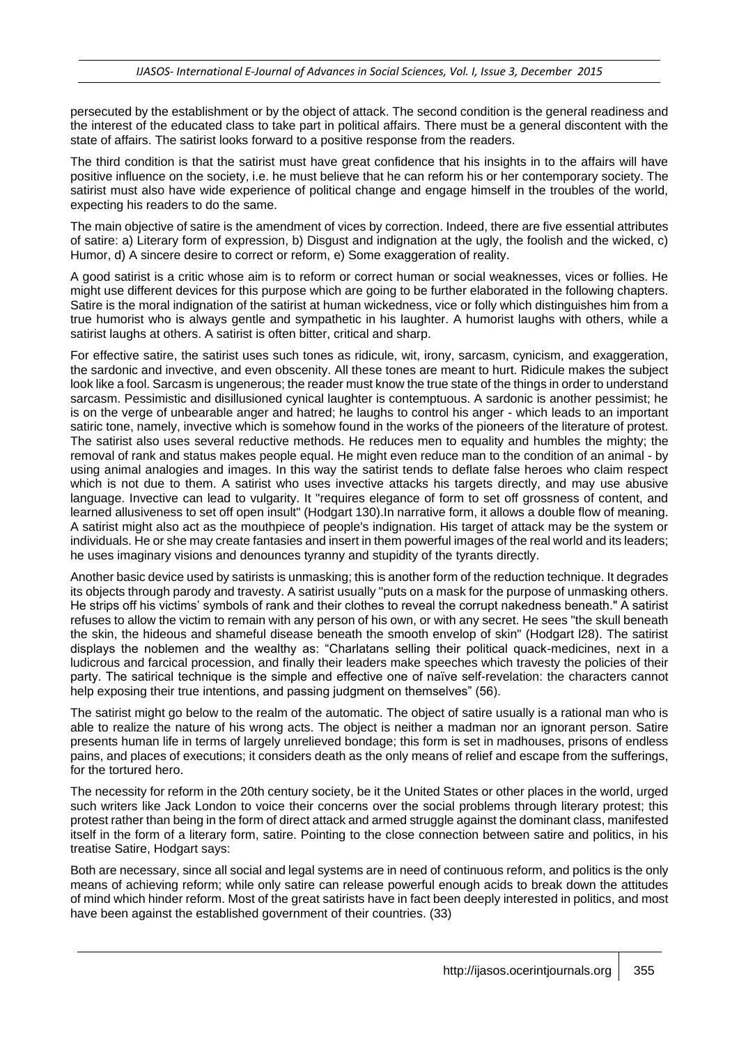persecuted by the establishment or by the object of attack. The second condition is the general readiness and the interest of the educated class to take part in political affairs. There must be a general discontent with the state of affairs. The satirist looks forward to a positive response from the readers.

The third condition is that the satirist must have great confidence that his insights in to the affairs will have positive influence on the society, i.e. he must believe that he can reform his or her contemporary society. The satirist must also have wide experience of political change and engage himself in the troubles of the world, expecting his readers to do the same.

The main objective of satire is the amendment of vices by correction. Indeed, there are five essential attributes of satire: a) Literary form of expression, b) Disgust and indignation at the ugly, the foolish and the wicked, c) Humor, d) A sincere desire to correct or reform, e) Some exaggeration of reality.

A good satirist is a critic whose aim is to reform or correct human or social weaknesses, vices or follies. He might use different devices for this purpose which are going to be further elaborated in the following chapters. Satire is the moral indignation of the satirist at human wickedness, vice or folly which distinguishes him from a true humorist who is always gentle and sympathetic in his laughter. A humorist laughs with others, while a satirist laughs at others. A satirist is often bitter, critical and sharp.

For effective satire, the satirist uses such tones as ridicule, wit, irony, sarcasm, cynicism, and exaggeration, the sardonic and invective, and even obscenity. All these tones are meant to hurt. Ridicule makes the subject look like a fool. Sarcasm is ungenerous; the reader must know the true state of the things in order to understand sarcasm. Pessimistic and disillusioned cynical laughter is contemptuous. A sardonic is another pessimist; he is on the verge of unbearable anger and hatred; he laughs to control his anger - which leads to an important satiric tone, namely, invective which is somehow found in the works of the pioneers of the literature of protest. The satirist also uses several reductive methods. He reduces men to equality and humbles the mighty; the removal of rank and status makes people equal. He might even reduce man to the condition of an animal - by using animal analogies and images. In this way the satirist tends to deflate false heroes who claim respect which is not due to them. A satirist who uses invective attacks his targets directly, and may use abusive language. Invective can lead to vulgarity. It "requires elegance of form to set off grossness of content, and learned allusiveness to set off open insult" (Hodgart 130).In narrative form, it allows a double flow of meaning. A satirist might also act as the mouthpiece of people's indignation. His target of attack may be the system or individuals. He or she may create fantasies and insert in them powerful images of the real world and its leaders; he uses imaginary visions and denounces tyranny and stupidity of the tyrants directly.

Another basic device used by satirists is unmasking; this is another form of the reduction technique. It degrades its objects through parody and travesty. A satirist usually "puts on a mask for the purpose of unmasking others. He strips off his victims' symbols of rank and their clothes to reveal the corrupt nakedness beneath." A satirist refuses to allow the victim to remain with any person of his own, or with any secret. He sees "the skull beneath the skin, the hideous and shameful disease beneath the smooth envelop of skin" (Hodgart l28). The satirist displays the noblemen and the wealthy as: "Charlatans selling their political quack-medicines, next in a ludicrous and farcical procession, and finally their leaders make speeches which travesty the policies of their party. The satirical technique is the simple and effective one of naïve self-revelation: the characters cannot help exposing their true intentions, and passing judgment on themselves" (56).

The satirist might go below to the realm of the automatic. The object of satire usually is a rational man who is able to realize the nature of his wrong acts. The object is neither a madman nor an ignorant person. Satire presents human life in terms of largely unrelieved bondage; this form is set in madhouses, prisons of endless pains, and places of executions; it considers death as the only means of relief and escape from the sufferings, for the tortured hero.

The necessity for reform in the 20th century society, be it the United States or other places in the world, urged such writers like Jack London to voice their concerns over the social problems through literary protest; this protest rather than being in the form of direct attack and armed struggle against the dominant class, manifested itself in the form of a literary form, satire. Pointing to the close connection between satire and politics, in his treatise Satire, Hodgart says:

Both are necessary, since all social and legal systems are in need of continuous reform, and politics is the only means of achieving reform; while only satire can release powerful enough acids to break down the attitudes of mind which hinder reform. Most of the great satirists have in fact been deeply interested in politics, and most have been against the established government of their countries. (33)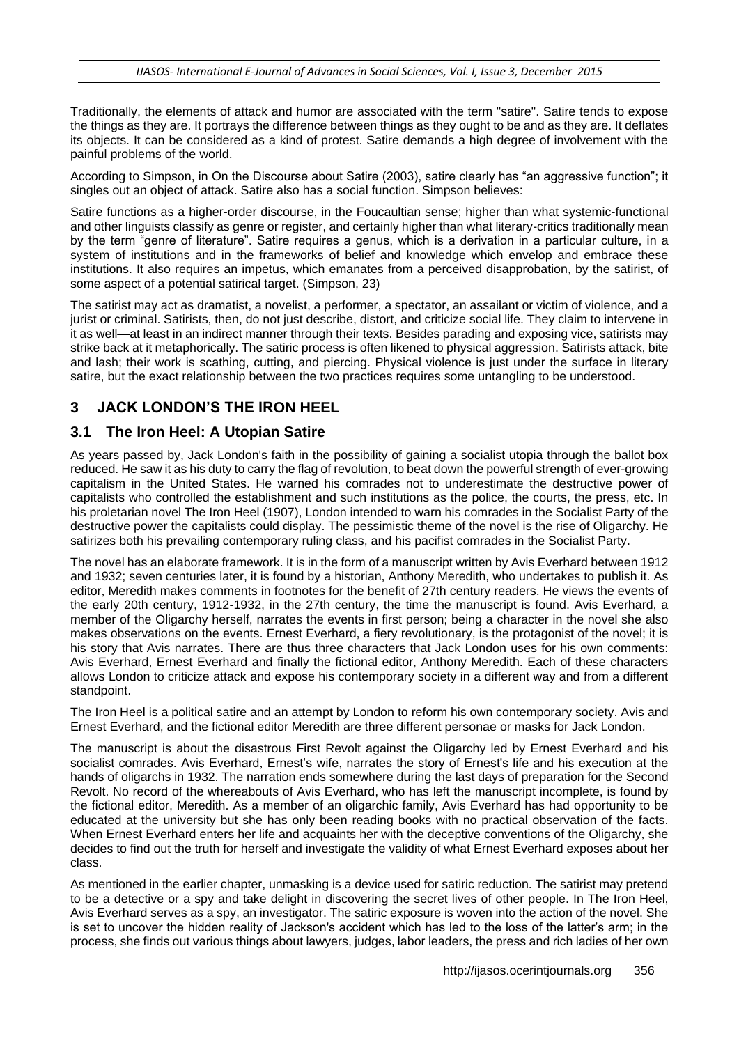Traditionally, the elements of attack and humor are associated with the term "satire". Satire tends to expose the things as they are. It portrays the difference between things as they ought to be and as they are. It deflates its objects. It can be considered as a kind of protest. Satire demands a high degree of involvement with the painful problems of the world.

According to Simpson, in On the Discourse about Satire (2003), satire clearly has "an aggressive function"; it singles out an object of attack. Satire also has a social function. Simpson believes:

Satire functions as a higher-order discourse, in the Foucaultian sense; higher than what systemic-functional and other linguists classify as genre or register, and certainly higher than what literary-critics traditionally mean by the term "genre of literature". Satire requires a genus, which is a derivation in a particular culture, in a system of institutions and in the frameworks of belief and knowledge which envelop and embrace these institutions. It also requires an impetus, which emanates from a perceived disapprobation, by the satirist, of some aspect of a potential satirical target. (Simpson, 23)

The satirist may act as dramatist, a novelist, a performer, a spectator, an assailant or victim of violence, and a jurist or criminal. Satirists, then, do not just describe, distort, and criticize social life. They claim to intervene in it as well—at least in an indirect manner through their texts. Besides parading and exposing vice, satirists may strike back at it metaphorically. The satiric process is often likened to physical aggression. Satirists attack, bite and lash; their work is scathing, cutting, and piercing. Physical violence is just under the surface in literary satire, but the exact relationship between the two practices requires some untangling to be understood.

## **3 JACK LONDON'S THE IRON HEEL**

### **3.1 The Iron Heel: A Utopian Satire**

As years passed by, Jack London's faith in the possibility of gaining a socialist utopia through the ballot box reduced. He saw it as his duty to carry the flag of revolution, to beat down the powerful strength of ever-growing capitalism in the United States. He warned his comrades not to underestimate the destructive power of capitalists who controlled the establishment and such institutions as the police, the courts, the press, etc. In his proletarian novel The Iron Heel (1907), London intended to warn his comrades in the Socialist Party of the destructive power the capitalists could display. The pessimistic theme of the novel is the rise of Oligarchy. He satirizes both his prevailing contemporary ruling class, and his pacifist comrades in the Socialist Party.

The novel has an elaborate framework. It is in the form of a manuscript written by Avis Everhard between 1912 and 1932; seven centuries later, it is found by a historian, Anthony Meredith, who undertakes to publish it. As editor, Meredith makes comments in footnotes for the benefit of 27th century readers. He views the events of the early 20th century, 1912-1932, in the 27th century, the time the manuscript is found. Avis Everhard, a member of the Oligarchy herself, narrates the events in first person; being a character in the novel she also makes observations on the events. Ernest Everhard, a fiery revolutionary, is the protagonist of the novel; it is his story that Avis narrates. There are thus three characters that Jack London uses for his own comments: Avis Everhard, Ernest Everhard and finally the fictional editor, Anthony Meredith. Each of these characters allows London to criticize attack and expose his contemporary society in a different way and from a different standpoint.

The Iron Heel is a political satire and an attempt by London to reform his own contemporary society. Avis and Ernest Everhard, and the fictional editor Meredith are three different personae or masks for Jack London.

The manuscript is about the disastrous First Revolt against the Oligarchy led by Ernest Everhard and his socialist comrades. Avis Everhard, Ernest's wife, narrates the story of Ernest's life and his execution at the hands of oligarchs in 1932. The narration ends somewhere during the last days of preparation for the Second Revolt. No record of the whereabouts of Avis Everhard, who has left the manuscript incomplete, is found by the fictional editor, Meredith. As a member of an oligarchic family, Avis Everhard has had opportunity to be educated at the university but she has only been reading books with no practical observation of the facts. When Ernest Everhard enters her life and acquaints her with the deceptive conventions of the Oligarchy, she decides to find out the truth for herself and investigate the validity of what Ernest Everhard exposes about her class.

As mentioned in the earlier chapter, unmasking is a device used for satiric reduction. The satirist may pretend to be a detective or a spy and take delight in discovering the secret lives of other people. In The Iron Heel, Avis Everhard serves as a spy, an investigator. The satiric exposure is woven into the action of the novel. She is set to uncover the hidden reality of Jackson's accident which has led to the loss of the latter's arm; in the process, she finds out various things about lawyers, judges, labor leaders, the press and rich ladies of her own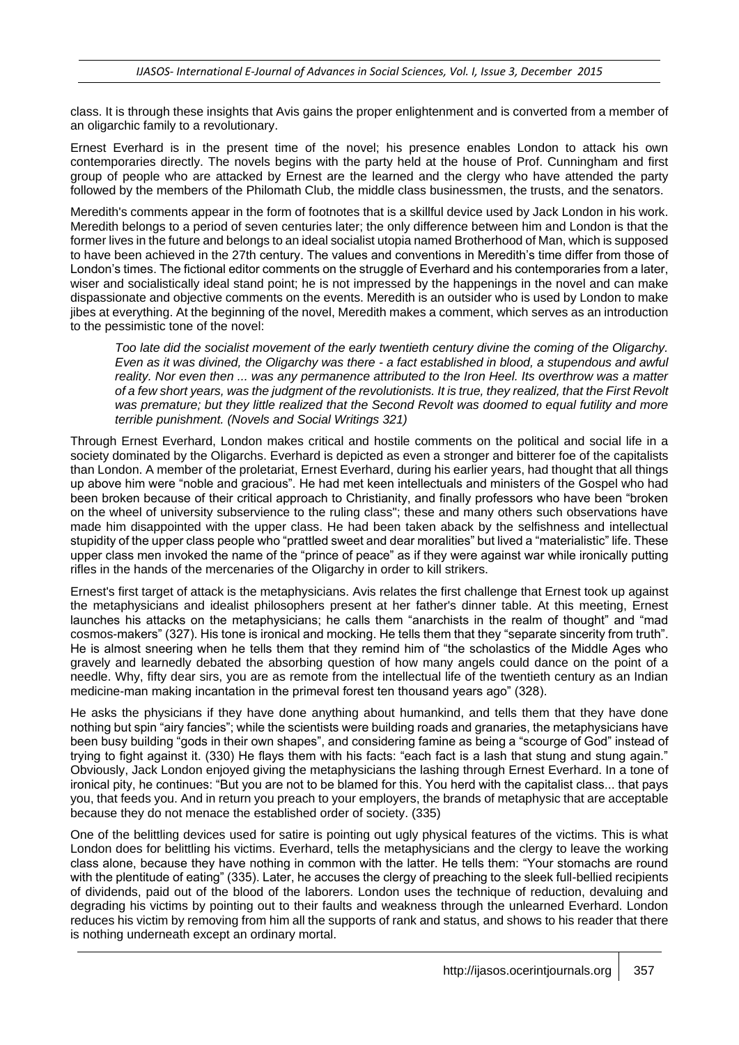class. It is through these insights that Avis gains the proper enlightenment and is converted from a member of an oligarchic family to a revolutionary.

Ernest Everhard is in the present time of the novel; his presence enables London to attack his own contemporaries directly. The novels begins with the party held at the house of Prof. Cunningham and first group of people who are attacked by Ernest are the learned and the clergy who have attended the party followed by the members of the Philomath Club, the middle class businessmen, the trusts, and the senators.

Meredith's comments appear in the form of footnotes that is a skillful device used by Jack London in his work. Meredith belongs to a period of seven centuries later; the only difference between him and London is that the former lives in the future and belongs to an ideal socialist utopia named Brotherhood of Man, which is supposed to have been achieved in the 27th century. The values and conventions in Meredith's time differ from those of London's times. The fictional editor comments on the struggle of Everhard and his contemporaries from a later, wiser and socialistically ideal stand point; he is not impressed by the happenings in the novel and can make dispassionate and objective comments on the events. Meredith is an outsider who is used by London to make jibes at everything. At the beginning of the novel, Meredith makes a comment, which serves as an introduction to the pessimistic tone of the novel:

*Too late did the socialist movement of the early twentieth century divine the coming of the Oligarchy. Even as it was divined, the Oligarchy was there - a fact established in blood, a stupendous and awful reality. Nor even then ... was any permanence attributed to the Iron Heel. Its overthrow was a matter of a few short years, was the judgment of the revolutionists. It is true, they realized, that the First Revolt was premature; but they little realized that the Second Revolt was doomed to equal futility and more terrible punishment. (Novels and Social Writings 321)* 

Through Ernest Everhard, London makes critical and hostile comments on the political and social life in a society dominated by the Oligarchs. Everhard is depicted as even a stronger and bitterer foe of the capitalists than London. A member of the proletariat, Ernest Everhard, during his earlier years, had thought that all things up above him were "noble and gracious". He had met keen intellectuals and ministers of the Gospel who had been broken because of their critical approach to Christianity, and finally professors who have been "broken on the wheel of university subservience to the ruling class"; these and many others such observations have made him disappointed with the upper class. He had been taken aback by the selfishness and intellectual stupidity of the upper class people who "prattled sweet and dear moralities" but lived a "materialistic" life. These upper class men invoked the name of the "prince of peace" as if they were against war while ironically putting rifles in the hands of the mercenaries of the Oligarchy in order to kill strikers.

Ernest's first target of attack is the metaphysicians. Avis relates the first challenge that Ernest took up against the metaphysicians and idealist philosophers present at her father's dinner table. At this meeting, Ernest launches his attacks on the metaphysicians; he calls them "anarchists in the realm of thought" and "mad cosmos-makers" (327). His tone is ironical and mocking. He tells them that they "separate sincerity from truth". He is almost sneering when he tells them that they remind him of "the scholastics of the Middle Ages who gravely and learnedly debated the absorbing question of how many angels could dance on the point of a needle. Why, fifty dear sirs, you are as remote from the intellectual life of the twentieth century as an Indian medicine-man making incantation in the primeval forest ten thousand years ago" (328).

He asks the physicians if they have done anything about humankind, and tells them that they have done nothing but spin "airy fancies"; while the scientists were building roads and granaries, the metaphysicians have been busy building "gods in their own shapes", and considering famine as being a "scourge of God" instead of trying to fight against it. (330) He flays them with his facts: "each fact is a lash that stung and stung again." Obviously, Jack London enjoyed giving the metaphysicians the lashing through Ernest Everhard. In a tone of ironical pity, he continues: "But you are not to be blamed for this. You herd with the capitalist class... that pays you, that feeds you. And in return you preach to your employers, the brands of metaphysic that are acceptable because they do not menace the established order of society. (335)

One of the belittling devices used for satire is pointing out ugly physical features of the victims. This is what London does for belittling his victims. Everhard, tells the metaphysicians and the clergy to leave the working class alone, because they have nothing in common with the latter. He tells them: "Your stomachs are round with the plentitude of eating" (335). Later, he accuses the clergy of preaching to the sleek full-bellied recipients of dividends, paid out of the blood of the laborers. London uses the technique of reduction, devaluing and degrading his victims by pointing out to their faults and weakness through the unlearned Everhard. London reduces his victim by removing from him all the supports of rank and status, and shows to his reader that there is nothing underneath except an ordinary mortal.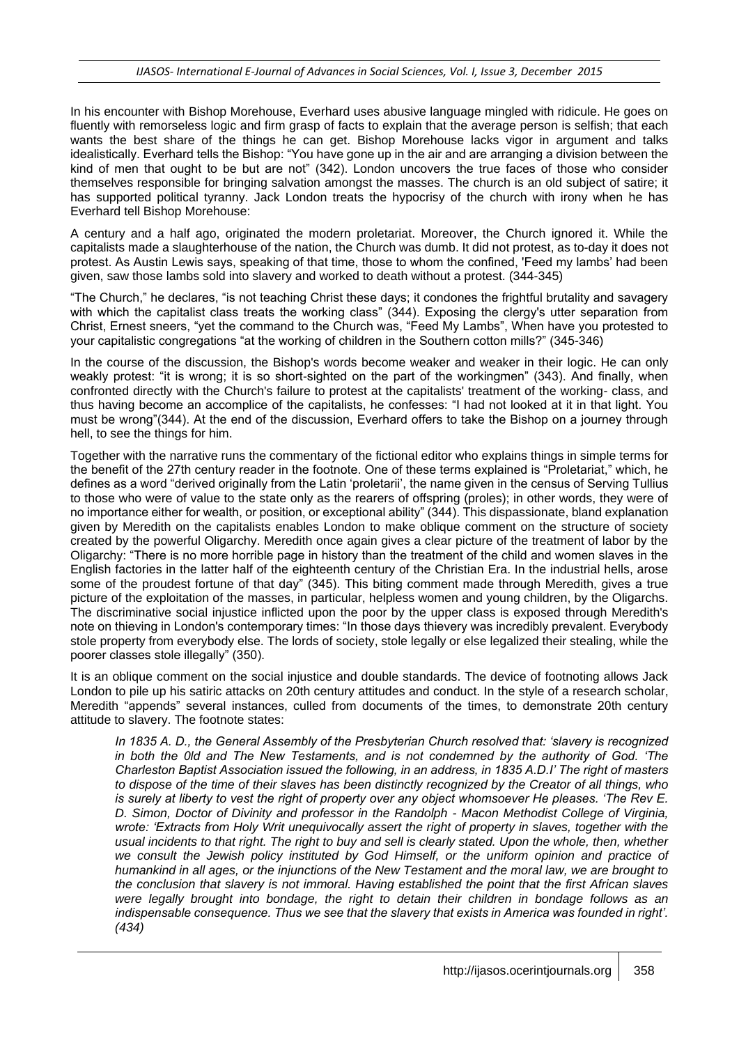In his encounter with Bishop Morehouse, Everhard uses abusive language mingled with ridicule. He goes on fluently with remorseless logic and firm grasp of facts to explain that the average person is selfish; that each wants the best share of the things he can get. Bishop Morehouse lacks vigor in argument and talks idealistically. Everhard tells the Bishop: "You have gone up in the air and are arranging a division between the kind of men that ought to be but are not" (342). London uncovers the true faces of those who consider themselves responsible for bringing salvation amongst the masses. The church is an old subject of satire; it has supported political tyranny. Jack London treats the hypocrisy of the church with irony when he has Everhard tell Bishop Morehouse:

A century and a half ago, originated the modern proletariat. Moreover, the Church ignored it. While the capitalists made a slaughterhouse of the nation, the Church was dumb. It did not protest, as to-day it does not protest. As Austin Lewis says, speaking of that time, those to whom the confined, 'Feed my lambs' had been given, saw those lambs sold into slavery and worked to death without a protest. (344-345)

"The Church," he declares, "is not teaching Christ these days; it condones the frightful brutality and savagery with which the capitalist class treats the working class" (344). Exposing the clergy's utter separation from Christ, Ernest sneers, "yet the command to the Church was, "Feed My Lambs", When have you protested to your capitalistic congregations "at the working of children in the Southern cotton mills?" (345-346)

In the course of the discussion, the Bishop's words become weaker and weaker in their logic. He can only weakly protest: "it is wrong; it is so short-sighted on the part of the workingmen" (343). And finally, when confronted directly with the Church's failure to protest at the capitalists' treatment of the working- class, and thus having become an accomplice of the capitalists, he confesses: "I had not looked at it in that light. You must be wrong"(344). At the end of the discussion, Everhard offers to take the Bishop on a journey through hell, to see the things for him.

Together with the narrative runs the commentary of the fictional editor who explains things in simple terms for the benefit of the 27th century reader in the footnote. One of these terms explained is "Proletariat," which, he defines as a word "derived originally from the Latin 'proletarii', the name given in the census of Serving Tullius to those who were of value to the state only as the rearers of offspring (proles); in other words, they were of no importance either for wealth, or position, or exceptional ability" (344). This dispassionate, bland explanation given by Meredith on the capitalists enables London to make oblique comment on the structure of society created by the powerful Oligarchy. Meredith once again gives a clear picture of the treatment of labor by the Oligarchy: "There is no more horrible page in history than the treatment of the child and women slaves in the English factories in the latter half of the eighteenth century of the Christian Era. In the industrial hells, arose some of the proudest fortune of that day" (345). This biting comment made through Meredith, gives a true picture of the exploitation of the masses, in particular, helpless women and young children, by the Oligarchs. The discriminative social injustice inflicted upon the poor by the upper class is exposed through Meredith's note on thieving in London's contemporary times: "In those days thievery was incredibly prevalent. Everybody stole property from everybody else. The lords of society, stole legally or else legalized their stealing, while the poorer classes stole illegally" (350).

It is an oblique comment on the social injustice and double standards. The device of footnoting allows Jack London to pile up his satiric attacks on 20th century attitudes and conduct. In the style of a research scholar, Meredith "appends" several instances, culled from documents of the times, to demonstrate 20th century attitude to slavery. The footnote states:

*In 1835 A. D., the General Assembly of the Presbyterian Church resolved that: 'slavery is recognized in both the 0ld and The New Testaments, and is not condemned by the authority of God. 'The Charleston Baptist Association issued the following, in an address, in 1835 A.D.I' The right of masters to dispose of the time of their slaves has been distinctly recognized by the Creator of all things, who is surely at liberty to vest the right of property over any object whomsoever He pleases. 'The Rev E. D. Simon, Doctor of Divinity and professor in the Randolph - Macon Methodist College of Virginia, wrote: 'Extracts from Holy Writ unequivocally assert the right of property in slaves, together with the usual incidents to that right. The right to buy and sell is clearly stated. Upon the whole, then, whether we consult the Jewish policy instituted by God Himself, or the uniform opinion and practice of humankind in all ages, or the injunctions of the New Testament and the moral law, we are brought to the conclusion that slavery is not immoral. Having established the point that the first African slaves were legally brought into bondage, the right to detain their children in bondage follows as an indispensable consequence. Thus we see that the slavery that exists in America was founded in right'. (434)*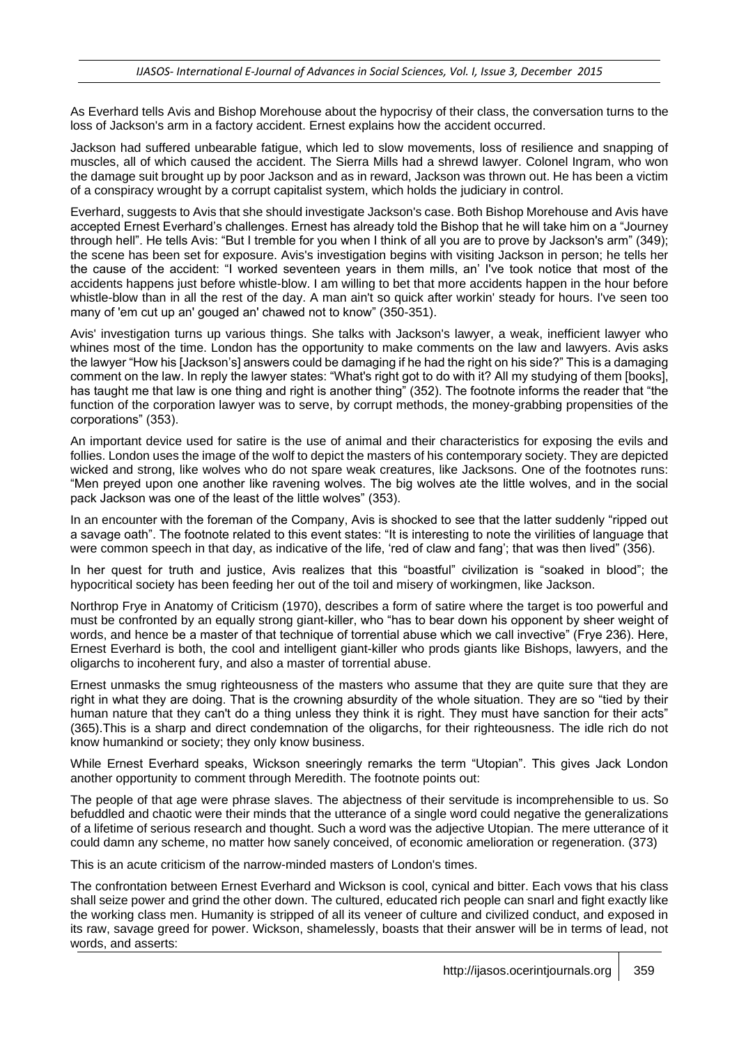As Everhard tells Avis and Bishop Morehouse about the hypocrisy of their class, the conversation turns to the loss of Jackson's arm in a factory accident. Ernest explains how the accident occurred.

Jackson had suffered unbearable fatigue, which led to slow movements, loss of resilience and snapping of muscles, all of which caused the accident. The Sierra Mills had a shrewd lawyer. Colonel Ingram, who won the damage suit brought up by poor Jackson and as in reward, Jackson was thrown out. He has been a victim of a conspiracy wrought by a corrupt capitalist system, which holds the judiciary in control.

Everhard, suggests to Avis that she should investigate Jackson's case. Both Bishop Morehouse and Avis have accepted Ernest Everhard's challenges. Ernest has already told the Bishop that he will take him on a "Journey through hell". He tells Avis: "But I tremble for you when I think of all you are to prove by Jackson's arm" (349); the scene has been set for exposure. Avis's investigation begins with visiting Jackson in person; he tells her the cause of the accident: "I worked seventeen years in them mills, an' I've took notice that most of the accidents happens just before whistle-blow. I am willing to bet that more accidents happen in the hour before whistle-blow than in all the rest of the day. A man ain't so quick after workin' steady for hours. I've seen too many of 'em cut up an' gouged an' chawed not to know" (350-351).

Avis' investigation turns up various things. She talks with Jackson's lawyer, a weak, inefficient lawyer who whines most of the time. London has the opportunity to make comments on the law and lawyers. Avis asks the lawyer "How his [Jackson's] answers could be damaging if he had the right on his side?" This is a damaging comment on the law. In reply the lawyer states: "What's right got to do with it? All my studying of them [books], has taught me that law is one thing and right is another thing" (352). The footnote informs the reader that "the function of the corporation lawyer was to serve, by corrupt methods, the money-grabbing propensities of the corporations" (353).

An important device used for satire is the use of animal and their characteristics for exposing the evils and follies. London uses the image of the wolf to depict the masters of his contemporary society. They are depicted wicked and strong, like wolves who do not spare weak creatures, like Jacksons. One of the footnotes runs: "Men preyed upon one another like ravening wolves. The big wolves ate the little wolves, and in the social pack Jackson was one of the least of the little wolves" (353).

In an encounter with the foreman of the Company, Avis is shocked to see that the latter suddenly "ripped out a savage oath". The footnote related to this event states: "It is interesting to note the virilities of language that were common speech in that day, as indicative of the life, 'red of claw and fang'; that was then lived" (356).

In her quest for truth and justice, Avis realizes that this "boastful" civilization is "soaked in blood"; the hypocritical society has been feeding her out of the toil and misery of workingmen, like Jackson.

Northrop Frye in Anatomy of Criticism (1970), describes a form of satire where the target is too powerful and must be confronted by an equally strong giant-killer, who "has to bear down his opponent by sheer weight of words, and hence be a master of that technique of torrential abuse which we call invective" (Frye 236). Here, Ernest Everhard is both, the cool and intelligent giant-killer who prods giants like Bishops, lawyers, and the oligarchs to incoherent fury, and also a master of torrential abuse.

Ernest unmasks the smug righteousness of the masters who assume that they are quite sure that they are right in what they are doing. That is the crowning absurdity of the whole situation. They are so "tied by their human nature that they can't do a thing unless they think it is right. They must have sanction for their acts" (365).This is a sharp and direct condemnation of the oligarchs, for their righteousness. The idle rich do not know humankind or society; they only know business.

While Ernest Everhard speaks, Wickson sneeringly remarks the term "Utopian". This gives Jack London another opportunity to comment through Meredith. The footnote points out:

The people of that age were phrase slaves. The abjectness of their servitude is incomprehensible to us. So befuddled and chaotic were their minds that the utterance of a single word could negative the generalizations of a lifetime of serious research and thought. Such a word was the adjective Utopian. The mere utterance of it could damn any scheme, no matter how sanely conceived, of economic amelioration or regeneration. (373)

This is an acute criticism of the narrow-minded masters of London's times.

The confrontation between Ernest Everhard and Wickson is cool, cynical and bitter. Each vows that his class shall seize power and grind the other down. The cultured, educated rich people can snarl and fight exactly like the working class men. Humanity is stripped of all its veneer of culture and civilized conduct, and exposed in its raw, savage greed for power. Wickson, shamelessly, boasts that their answer will be in terms of lead, not words, and asserts: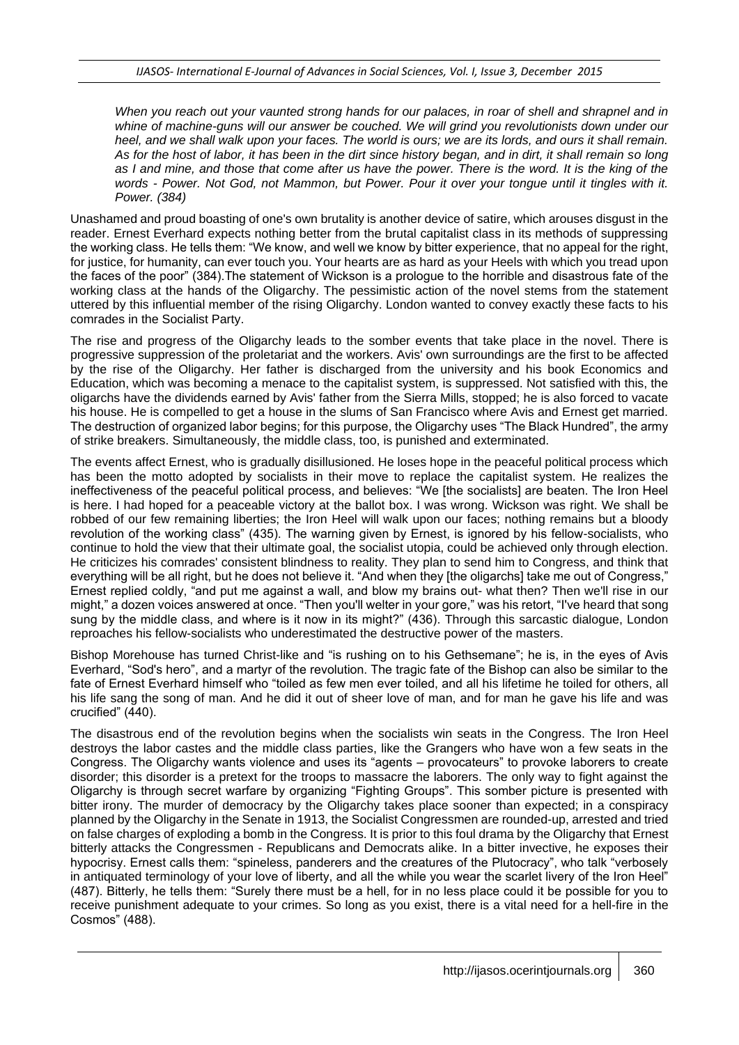*When you reach out your vaunted strong hands for our palaces, in roar of shell and shrapnel and in whine of machine-guns will our answer be couched. We will grind you revolutionists down under our heel, and we shall walk upon your faces. The world is ours; we are its lords, and ours it shall remain. As for the host of labor, it has been in the dirt since history began, and in dirt, it shall remain so long as I and mine, and those that come after us have the power. There is the word. It is the king of the words - Power. Not God, not Mammon, but Power. Pour it over your tongue until it tingles with it. Power. (384)*

Unashamed and proud boasting of one's own brutality is another device of satire, which arouses disgust in the reader. Ernest Everhard expects nothing better from the brutal capitalist class in its methods of suppressing the working class. He tells them: "We know, and well we know by bitter experience, that no appeal for the right, for justice, for humanity, can ever touch you. Your hearts are as hard as your Heels with which you tread upon the faces of the poor" (384).The statement of Wickson is a prologue to the horrible and disastrous fate of the working class at the hands of the Oligarchy. The pessimistic action of the novel stems from the statement uttered by this influential member of the rising Oligarchy. London wanted to convey exactly these facts to his comrades in the Socialist Party.

The rise and progress of the Oligarchy leads to the somber events that take place in the novel. There is progressive suppression of the proletariat and the workers. Avis' own surroundings are the first to be affected by the rise of the Oligarchy. Her father is discharged from the university and his book Economics and Education, which was becoming a menace to the capitalist system, is suppressed. Not satisfied with this, the oligarchs have the dividends earned by Avis' father from the Sierra Mills, stopped; he is also forced to vacate his house. He is compelled to get a house in the slums of San Francisco where Avis and Ernest get married. The destruction of organized labor begins; for this purpose, the Oligarchy uses "The Black Hundred", the army of strike breakers. Simultaneously, the middle class, too, is punished and exterminated.

The events affect Ernest, who is gradually disillusioned. He loses hope in the peaceful political process which has been the motto adopted by socialists in their move to replace the capitalist system. He realizes the ineffectiveness of the peaceful political process, and believes: "We [the socialists] are beaten. The Iron Heel is here. I had hoped for a peaceable victory at the ballot box. I was wrong. Wickson was right. We shall be robbed of our few remaining liberties; the Iron Heel will walk upon our faces; nothing remains but a bloody revolution of the working class" (435). The warning given by Ernest, is ignored by his fellow-socialists, who continue to hold the view that their ultimate goal, the socialist utopia, could be achieved only through election. He criticizes his comrades' consistent blindness to reality. They plan to send him to Congress, and think that everything will be all right, but he does not believe it. "And when they [the oligarchs] take me out of Congress," Ernest replied coldly, "and put me against a wall, and blow my brains out- what then? Then we'll rise in our might," a dozen voices answered at once. "Then you'll welter in your gore," was his retort, "I've heard that song sung by the middle class, and where is it now in its might?" (436). Through this sarcastic dialogue, London reproaches his fellow-socialists who underestimated the destructive power of the masters.

Bishop Morehouse has turned Christ-like and "is rushing on to his Gethsemane"; he is, in the eyes of Avis Everhard, "Sod's hero", and a martyr of the revolution. The tragic fate of the Bishop can also be similar to the fate of Ernest Everhard himself who "toiled as few men ever toiled, and all his lifetime he toiled for others, all his life sang the song of man. And he did it out of sheer love of man, and for man he gave his life and was crucified" (440).

The disastrous end of the revolution begins when the socialists win seats in the Congress. The Iron Heel destroys the labor castes and the middle class parties, like the Grangers who have won a few seats in the Congress. The Oligarchy wants violence and uses its "agents – provocateurs" to provoke laborers to create disorder; this disorder is a pretext for the troops to massacre the laborers. The only way to fight against the Oligarchy is through secret warfare by organizing "Fighting Groups". This somber picture is presented with bitter irony. The murder of democracy by the Oligarchy takes place sooner than expected; in a conspiracy planned by the Oligarchy in the Senate in 1913, the Socialist Congressmen are rounded-up, arrested and tried on false charges of exploding a bomb in the Congress. It is prior to this foul drama by the Oligarchy that Ernest bitterly attacks the Congressmen - Republicans and Democrats alike. In a bitter invective, he exposes their hypocrisy. Ernest calls them: "spineless, panderers and the creatures of the Plutocracy", who talk "verbosely in antiquated terminology of your love of liberty, and all the while you wear the scarlet livery of the Iron Heel" (487). Bitterly, he tells them: "Surely there must be a hell, for in no less place could it be possible for you to receive punishment adequate to your crimes. So long as you exist, there is a vital need for a hell-fire in the Cosmos" (488).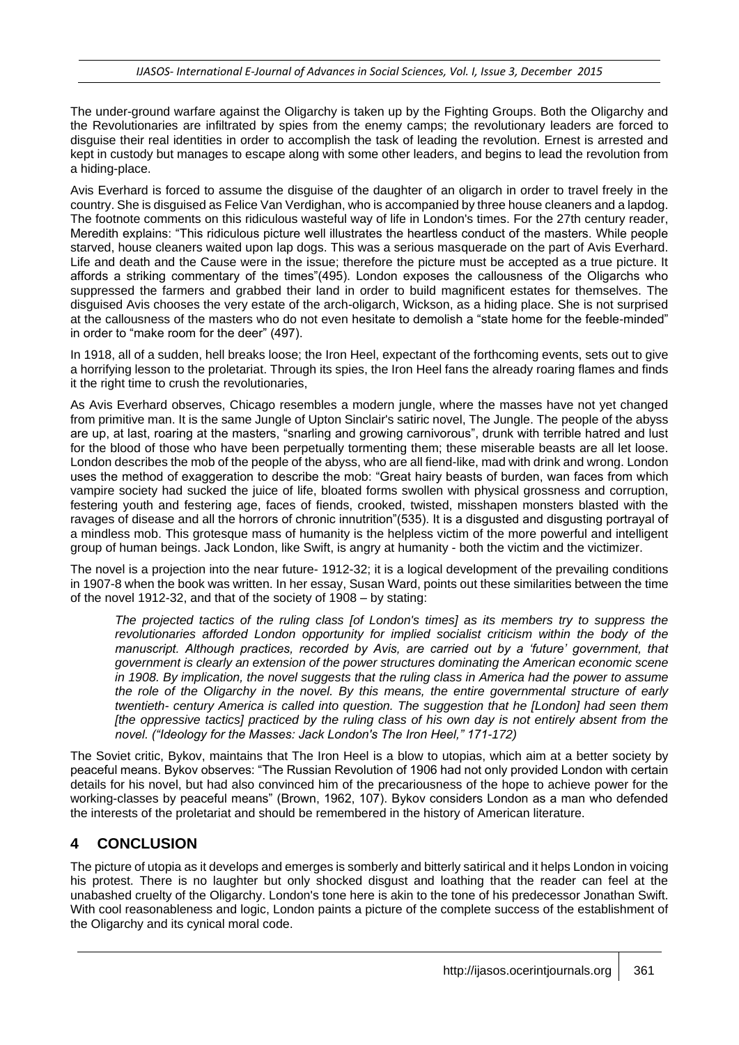The under-ground warfare against the Oligarchy is taken up by the Fighting Groups. Both the Oligarchy and the Revolutionaries are infiltrated by spies from the enemy camps; the revolutionary leaders are forced to disguise their real identities in order to accomplish the task of leading the revolution. Ernest is arrested and kept in custody but manages to escape along with some other leaders, and begins to lead the revolution from a hiding-place.

Avis Everhard is forced to assume the disguise of the daughter of an oligarch in order to travel freely in the country. She is disguised as Felice Van Verdighan, who is accompanied by three house cleaners and a lapdog. The footnote comments on this ridiculous wasteful way of life in London's times. For the 27th century reader, Meredith explains: "This ridiculous picture well illustrates the heartless conduct of the masters. While people starved, house cleaners waited upon lap dogs. This was a serious masquerade on the part of Avis Everhard. Life and death and the Cause were in the issue; therefore the picture must be accepted as a true picture. It affords a striking commentary of the times"(495). London exposes the callousness of the Oligarchs who suppressed the farmers and grabbed their land in order to build magnificent estates for themselves. The disguised Avis chooses the very estate of the arch-oligarch, Wickson, as a hiding place. She is not surprised at the callousness of the masters who do not even hesitate to demolish a "state home for the feeble-minded" in order to "make room for the deer" (497).

In 1918, all of a sudden, hell breaks loose; the Iron Heel, expectant of the forthcoming events, sets out to give a horrifying lesson to the proletariat. Through its spies, the Iron Heel fans the already roaring flames and finds it the right time to crush the revolutionaries,

As Avis Everhard observes, Chicago resembles a modern jungle, where the masses have not yet changed from primitive man. It is the same Jungle of Upton Sinclair's satiric novel, The Jungle. The people of the abyss are up, at last, roaring at the masters, "snarling and growing carnivorous", drunk with terrible hatred and lust for the blood of those who have been perpetually tormenting them; these miserable beasts are all let loose. London describes the mob of the people of the abyss, who are all fiend-like, mad with drink and wrong. London uses the method of exaggeration to describe the mob: "Great hairy beasts of burden, wan faces from which vampire society had sucked the juice of life, bloated forms swollen with physical grossness and corruption, festering youth and festering age, faces of fiends, crooked, twisted, misshapen monsters blasted with the ravages of disease and all the horrors of chronic innutrition"(535). It is a disgusted and disgusting portrayal of a mindless mob. This grotesque mass of humanity is the helpless victim of the more powerful and intelligent group of human beings. Jack London, like Swift, is angry at humanity - both the victim and the victimizer.

The novel is a projection into the near future- 1912-32; it is a logical development of the prevailing conditions in 1907-8 when the book was written. In her essay, Susan Ward, points out these similarities between the time of the novel 1912-32, and that of the society of 1908 – by stating:

*The projected tactics of the ruling class [of London's times] as its members try to suppress the revolutionaries afforded London opportunity for implied socialist criticism within the body of the manuscript. Although practices, recorded by Avis, are carried out by a 'future' government, that government is clearly an extension of the power structures dominating the American economic scene in 1908. By implication, the novel suggests that the ruling class in America had the power to assume the role of the Oligarchy in the novel. By this means, the entire governmental structure of early twentieth- century America is called into question. The suggestion that he [London] had seen them [the oppressive tactics] practiced by the ruling class of his own day is not entirely absent from the novel. ("Ideology for the Masses: Jack London's The Iron Heel," 171-172)*

The Soviet critic, Bykov, maintains that The Iron Heel is a blow to utopias, which aim at a better society by peaceful means. Bykov observes: "The Russian Revolution of 1906 had not only provided London with certain details for his novel, but had also convinced him of the precariousness of the hope to achieve power for the working-classes by peaceful means" (Brown, 1962, 107). Bykov considers London as a man who defended the interests of the proletariat and should be remembered in the history of American literature.

## **4 CONCLUSION**

The picture of utopia as it develops and emerges is somberly and bitterly satirical and it helps London in voicing his protest. There is no laughter but only shocked disgust and loathing that the reader can feel at the unabashed cruelty of the Oligarchy. London's tone here is akin to the tone of his predecessor Jonathan Swift. With cool reasonableness and logic, London paints a picture of the complete success of the establishment of the Oligarchy and its cynical moral code.